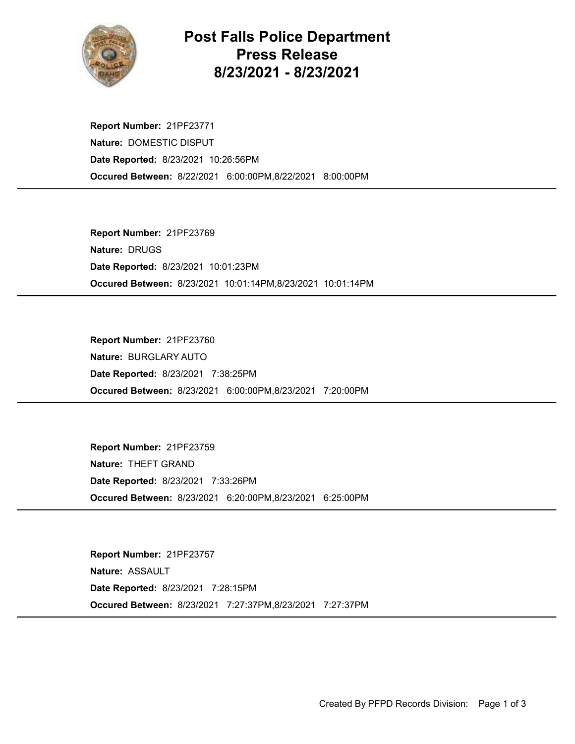

## Post Falls Police Department Press Release 8/23/2021 - 8/23/2021

Occured Between: 8/22/2021 6:00:00PM,8/22/2021 8:00:00PM Report Number: 21PF23771 Nature: DOMESTIC DISPUT Date Reported: 8/23/2021 10:26:56PM

Occured Between: 8/23/2021 10:01:14PM,8/23/2021 10:01:14PM Report Number: 21PF23769 Nature: DRUGS Date Reported: 8/23/2021 10:01:23PM

Occured Between: 8/23/2021 6:00:00PM,8/23/2021 7:20:00PM Report Number: 21PF23760 Nature: BURGLARY AUTO Date Reported: 8/23/2021 7:38:25PM

Occured Between: 8/23/2021 6:20:00PM,8/23/2021 6:25:00PM Report Number: 21PF23759 Nature: THEFT GRAND Date Reported: 8/23/2021 7:33:26PM

Occured Between: 8/23/2021 7:27:37PM,8/23/2021 7:27:37PM Report Number: 21PF23757 Nature: ASSAULT Date Reported: 8/23/2021 7:28:15PM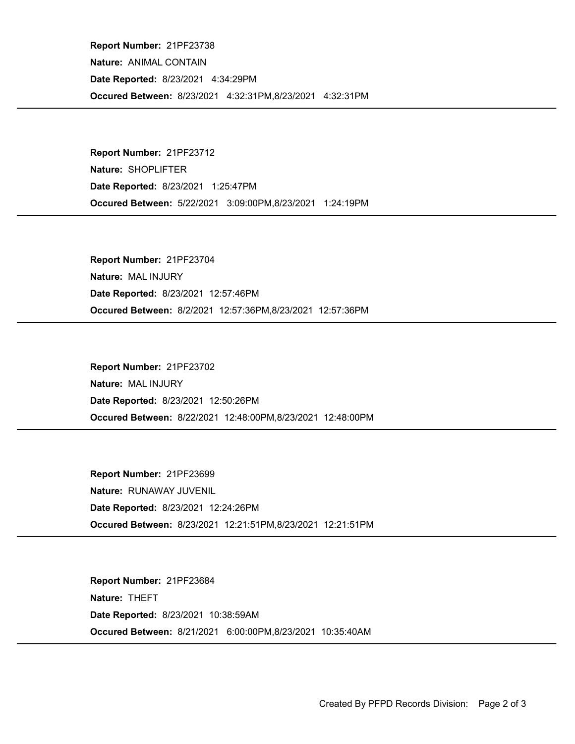Occured Between: 8/23/2021 4:32:31PM,8/23/2021 4:32:31PM Report Number: 21PF23738 Nature: ANIMAL CONTAIN Date Reported: 8/23/2021 4:34:29PM

Occured Between: 5/22/2021 3:09:00PM,8/23/2021 1:24:19PM Report Number: 21PF23712 Nature: SHOPLIFTER Date Reported: 8/23/2021 1:25:47PM

Occured Between: 8/2/2021 12:57:36PM,8/23/2021 12:57:36PM Report Number: 21PF23704 Nature: MAL INJURY Date Reported: 8/23/2021 12:57:46PM

Occured Between: 8/22/2021 12:48:00PM,8/23/2021 12:48:00PM Report Number: 21PF23702 Nature: MAL INJURY Date Reported: 8/23/2021 12:50:26PM

Occured Between: 8/23/2021 12:21:51PM,8/23/2021 12:21:51PM Report Number: 21PF23699 Nature: RUNAWAY JUVENIL Date Reported: 8/23/2021 12:24:26PM

Occured Between: 8/21/2021 6:00:00PM,8/23/2021 10:35:40AM Report Number: 21PF23684 Nature: THEFT Date Reported: 8/23/2021 10:38:59AM